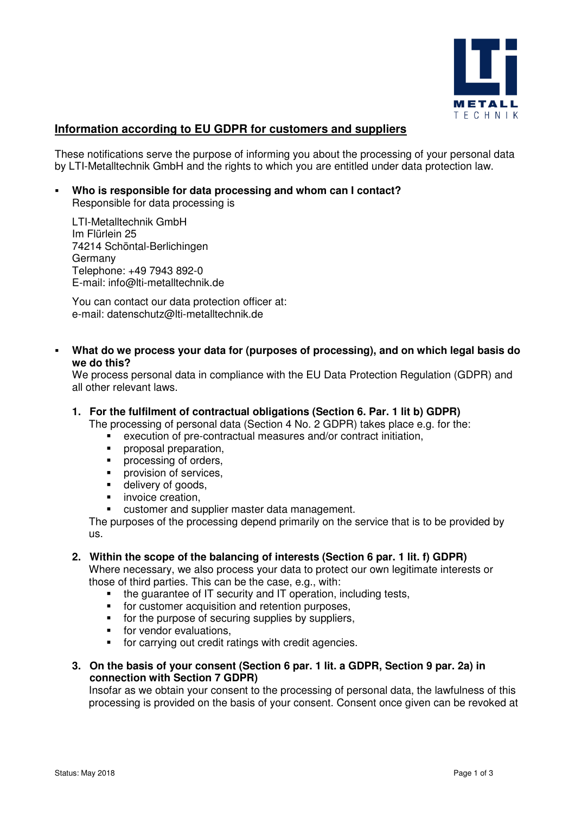

# **Information according to EU GDPR for customers and suppliers**

These notifications serve the purpose of informing you about the processing of your personal data by LTI-Metalltechnik GmbH and the rights to which you are entitled under data protection law.

 **Who is responsible for data processing and whom can I contact?**  Responsible for data processing is

LTI-Metalltechnik GmbH Im Flürlein 25 74214 Schöntal-Berlichingen Germany Telephone: +49 7943 892-0 E-mail: info@lti-metalltechnik.de

You can contact our data protection officer at: e-mail: datenschutz@lti-metalltechnik.de

 **What do we process your data for (purposes of processing), and on which legal basis do we do this?** 

We process personal data in compliance with the EU Data Protection Regulation (GDPR) and all other relevant laws.

## **1. For the fulfilment of contractual obligations (Section 6. Par. 1 lit b) GDPR)**

The processing of personal data (Section 4 No. 2 GDPR) takes place e.g. for the:

- execution of pre-contractual measures and/or contract initiation,
- proposal preparation,<br>• processing of orders
- processing of orders,
- **•** provision of services,
- delivery of goods,
- **·** invoice creation,
- customer and supplier master data management.

The purposes of the processing depend primarily on the service that is to be provided by us.

# **2. Within the scope of the balancing of interests (Section 6 par. 1 lit. f) GDPR)**

Where necessary, we also process your data to protect our own legitimate interests or those of third parties. This can be the case, e.g., with:

- the guarantee of IT security and IT operation, including tests,
- **for customer acquisition and retention purposes,**
- **for the purpose of securing supplies by suppliers,**
- **for vendor evaluations.**
- for carrying out credit ratings with credit agencies.
- **3. On the basis of your consent (Section 6 par. 1 lit. a GDPR, Section 9 par. 2a) in connection with Section 7 GDPR)**

Insofar as we obtain your consent to the processing of personal data, the lawfulness of this processing is provided on the basis of your consent. Consent once given can be revoked at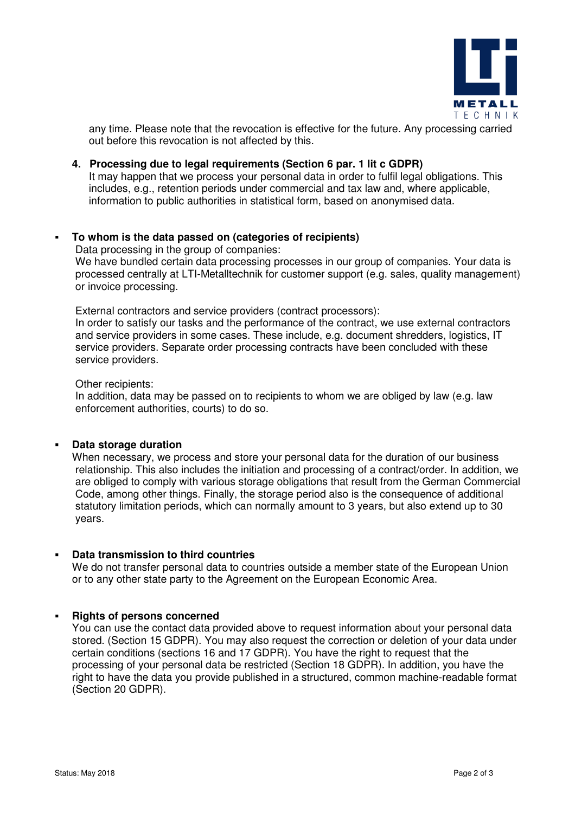

any time. Please note that the revocation is effective for the future. Any processing carried out before this revocation is not affected by this.

## **4. Processing due to legal requirements (Section 6 par. 1 lit c GDPR)**

It may happen that we process your personal data in order to fulfil legal obligations. This includes, e.g., retention periods under commercial and tax law and, where applicable, information to public authorities in statistical form, based on anonymised data.

# **To whom is the data passed on (categories of recipients)**

Data processing in the group of companies: We have bundled certain data processing processes in our group of companies. Your data is processed centrally at LTI-Metalltechnik for customer support (e.g. sales, quality management) or invoice processing.

External contractors and service providers (contract processors):

In order to satisfy our tasks and the performance of the contract, we use external contractors and service providers in some cases. These include, e.g. document shredders, logistics, IT service providers. Separate order processing contracts have been concluded with these service providers.

#### Other recipients:

In addition, data may be passed on to recipients to whom we are obliged by law (e.g. law enforcement authorities, courts) to do so.

#### **Data storage duration**

When necessary, we process and store your personal data for the duration of our business relationship. This also includes the initiation and processing of a contract/order. In addition, we are obliged to comply with various storage obligations that result from the German Commercial Code, among other things. Finally, the storage period also is the consequence of additional statutory limitation periods, which can normally amount to 3 years, but also extend up to 30 years.

#### **Data transmission to third countries**

We do not transfer personal data to countries outside a member state of the European Union or to any other state party to the Agreement on the European Economic Area.

#### **Rights of persons concerned**

You can use the contact data provided above to request information about your personal data stored. (Section 15 GDPR). You may also request the correction or deletion of your data under certain conditions (sections 16 and 17 GDPR). You have the right to request that the processing of your personal data be restricted (Section 18 GDPR). In addition, you have the right to have the data you provide published in a structured, common machine-readable format (Section 20 GDPR).